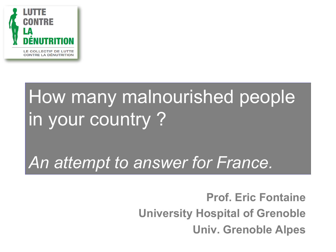

## How many malnourished people in your country ?

### *An attempt to answer for France.*

**Prof. Eric Fontaine University Hospital of Grenoble Univ. Grenoble Alpes**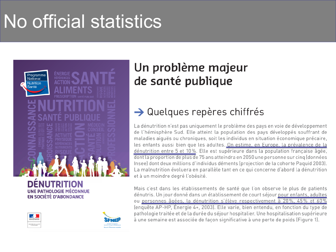## No official statistics





### Un problème majeur de santé publique

### $\rightarrow$  Quelques repères chiffrés

La dénutrition n'est pas uniquement le problème des pays en voie de développement de l'hémisphère Sud. Elle atteint la population des pays développés souffrant de maladies aiguës ou chroniques, soit les individus en situation économique précaire, les enfants aussi bien que les adultes. On estime, en Europe, la prévalence de la dénutrition entre 5 et 10%. Elle est supérieure dans la population française âgée, dont la proportion de plus de 75 ans atteindra en 2050 une personne sur cinq (données Insee) dont deux millions d'individus déments (projection de la cohorte Paquid 2003). La malnutrition évoluera en parallèle tant en ce qui concerne d'abord la dénutrition et à un moindre degré l'obésité.

Mais c'est dans les établissements de santé que l'on observe le plus de patients dénutris. Un jour donné dans un établissement de court séjour pour enfants, adultes ou personnes âgées, la dénutrition s'élève respectivement à 20%, 45% et 60% (enquête AP-HP, Énergie 4+, 2003). Elle varie, bien entendu, en fonction du type de pathologie traitée et de la durée du séjour hospitalier. Une hospitalisation supérieure à une semaine est associée de façon significative à une perte de poids (Figure 1).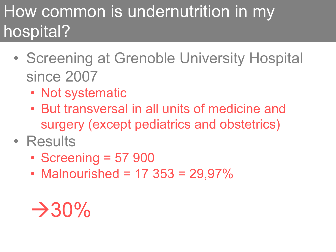### How common is undernutrition in my hospital?

- Screening at Grenoble University Hospital since 2007
	- Not systematic
	- But transversal in all units of medicine and surgery (except pediatrics and obstetrics)
- Results
	- Screening = 57 900
	- Malnourished =  $17 \, 353 = 29.97\%$

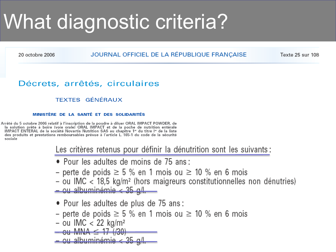# What diagnostic criteria?

20 octobre 2006

### JOURNAL OFFICIEL DE LA RÉPUBLIQUE FRANÇAISE

Texte 25 sur 108

### Décrets, arrêtés, circulaires

### **TEXTES GÉNÉRAUX**

#### MINISTÈRE DE LA SANTÉ ET DES SOLIDARITÉS

Arrêté du 5 octobre 2006 relatif à l'inscription de la poudre à diluer ORAL IMPACT POWDER, de la solution prête à boire (voie orale) ORAL IMPACT et de la poche de nutrition entérale IMPACT ENTERAL de la société Novartis Nutrition SAS au chapitre 1<sup>er</sup> du titre l<sup>er</sup> de la liste des produits et prestations remboursables prévue à l'article L. 165-1 du code de la sécurité sociale

Les critères retenus pour définir la dénutrition sont les suivants :

- Pour les adultes de moins de 75 ans :
- perte de poids  $\geq$  5 % en 1 mois ou  $\geq$  10 % en 6 mois
- ou IMC  $<$  18,5 kg/m<sup>2</sup> (hors maigreurs constitutionnelles non dénutries)  $-$  ou albuminémie < 35 g/l.
- Pour les adultes de plus de 75 ans :
- perte de poids  $\geq$  5 % en 1 mois ou  $\geq$  10 % en 6 mois
- ou IMC < 22 kg/m<sup>2</sup>
- <del>ou MNA  $\leq$  17 (/30)</del>

<u>– ou albuminémie < 35 g/l.</u>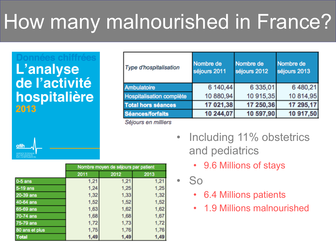# How many malnourished in France?

### L'analyse de l'activité hospitalière 2013

 $atih$ 

| Nombre de<br>séjours 2013 |
|---------------------------|
| 6 480,21<br>6 335,01      |
| 10 915,35<br>10 814,95    |
| 17 295,17<br>17 250,36    |
| 10 917,50<br>10 597,90    |
|                           |

*Sejours en milliers* 



- 9.6 Millions of stays
- So
	- 6.4 Millions patients
	- 1.9 Millions malnourished

|                | Nombre moyen de séjours par patient |      |      |
|----------------|-------------------------------------|------|------|
|                | 2011                                | 2012 | 2013 |
| $0-5$ ans      | 1,21                                | 1,21 | 1,21 |
| 5-19 ans       | 1,24                                | 1,25 | 1,25 |
| 20-39 ans      | 1,32                                | 1,33 | 1,32 |
| 40-64 ans      | 1,52                                | 1,52 | 1,52 |
| 65-69 ans      | 1,63                                | 1,62 | 1,62 |
| 70-74 ans      | 1,68                                | 1,68 | 1,67 |
| 75-79 ans      | 1,72                                | 1,73 | 1,72 |
| 80 ans et plus | 1,75                                | 1,76 | 1,76 |
| <b>Total</b>   | 1,49                                | 1,49 | 1,49 |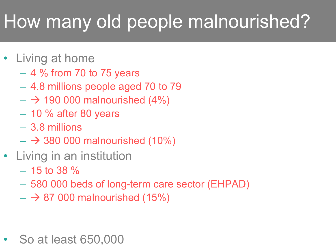## How many old people malnourished?

- Living at home
	- 4 % from 70 to 75 years
	- 4.8 millions people aged 70 to 79
	- $\rightarrow$  190 000 malnourished (4%)
	- $-10\%$  after 80 years
	- 3.8 millions
	- $\rightarrow$  380 000 malnourished (10%)
- Living in an institution
	- $-15$  to 38 %
	- 580 000 beds of long-term care sector (EHPAD)
	- $\rightarrow$  87 000 malnourished (15%)

• So at least 650,000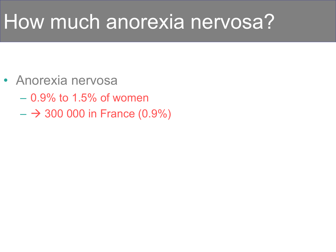## How much anorexia nervosa?

- Anorexia nervosa
	- 0.9% to 1.5% of women
	- $\rightarrow$  300 000 in France (0.9%)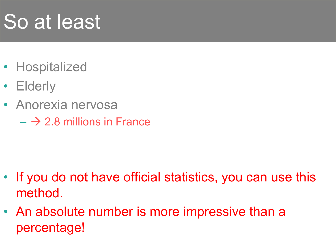# So at least

- Hospitalized
- Elderly
- Anorexia nervosa
	- $\rightarrow$  2.8 millions in France

- If you do not have official statistics, you can use this method.
- An absolute number is more impressive than a percentage!